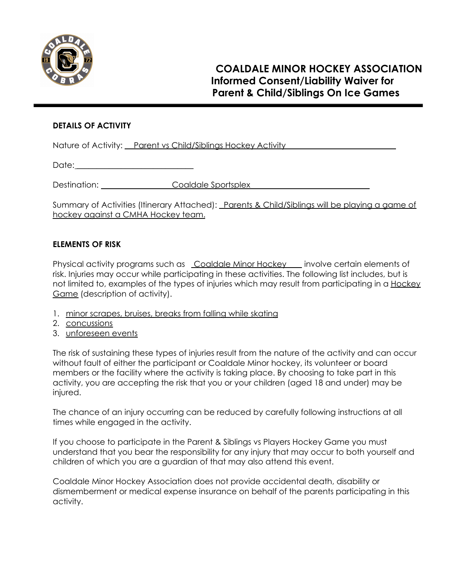

## **DETAILS OF ACTIVITY**

Nature of Activity: Parent vs Child/Siblings Hockey Activity

Date: \_\_\_\_\_\_\_\_\_\_\_\_\_\_\_\_\_\_\_\_\_\_\_\_\_\_\_\_\_

Destination: Coaldale Sportsplex

Summary of Activities (Itinerary Attached): Parents & Child/Siblings will be playing a game of hockey against a CMHA Hockey team.

## **ELEMENTS OF RISK**

Physical activity programs such as Coaldale Minor Hockey involve certain elements of risk. Injuries may occur while participating in these activities. The following list includes, but is not limited to, examples of the types of injuries which may result from participating in a Hockey Game (description of activity).

- 1. minor scrapes, bruises, breaks from falling while skating
- 2. concussions
- 3. unforeseen events

The risk of sustaining these types of injuries result from the nature of the activity and can occur without fault of either the participant or Coaldale Minor hockey, its volunteer or board members or the facility where the activity is taking place. By choosing to take part in this activity, you are accepting the risk that you or your children (aged 18 and under) may be injured.

The chance of an injury occurring can be reduced by carefully following instructions at all times while engaged in the activity.

If you choose to participate in the Parent & Siblings vs Players Hockey Game you must understand that you bear the responsibility for any injury that may occur to both yourself and children of which you are a guardian of that may also attend this event.

Coaldale Minor Hockey Association does not provide accidental death, disability or dismemberment or medical expense insurance on behalf of the parents participating in this activity.